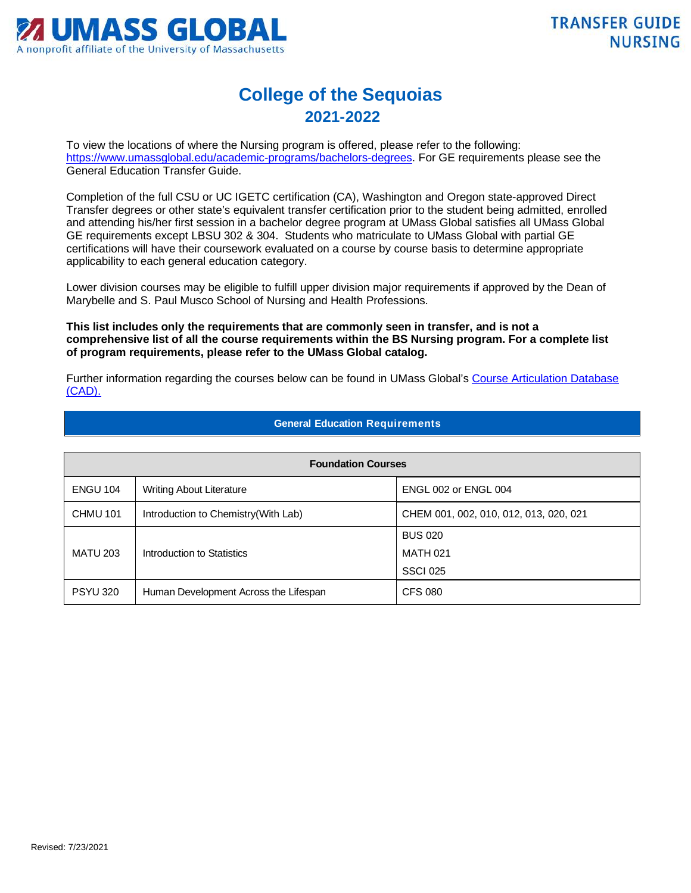

## **College of the Sequoias 2021-2022**

To view the locations of where the Nursing program is offered, please refer to the following: [https://www.umassglobal.edu/academic-programs/bachelors-degrees.](https://www.umassglobal.edu/academic-programs/bachelors-degrees) For GE requirements please see the General Education Transfer Guide.

Completion of the full CSU or UC IGETC certification (CA), Washington and Oregon state-approved Direct Transfer degrees or other state's equivalent transfer certification prior to the student being admitted, enrolled and attending his/her first session in a bachelor degree program at UMass Global satisfies all UMass Global GE requirements except LBSU 302 & 304. Students who matriculate to UMass Global with partial GE certifications will have their coursework evaluated on a course by course basis to determine appropriate applicability to each general education category.

Lower division courses may be eligible to fulfill upper division major requirements if approved by the Dean of Marybelle and S. Paul Musco School of Nursing and Health Professions.

**This list includes only the requirements that are commonly seen in transfer, and is not a comprehensive list of all the course requirements within the BS Nursing program. For a complete list of program requirements, please refer to the UMass Global catalog.**

Further information regarding the courses below can be found in UMass Global's Course Articulation Database [\(CAD\).](http://services.umassglobal.edu/studentservices/TransferCredit/) 

| <b>Foundation Courses</b> |                                       |                                        |  |
|---------------------------|---------------------------------------|----------------------------------------|--|
| <b>ENGU 104</b>           | <b>Writing About Literature</b>       | ENGL 002 or ENGL 004                   |  |
| <b>CHMU 101</b>           | Introduction to Chemistry (With Lab)  | CHEM 001, 002, 010, 012, 013, 020, 021 |  |
|                           |                                       | <b>BUS 020</b>                         |  |
| <b>MATU 203</b>           | Introduction to Statistics            | <b>MATH 021</b>                        |  |
|                           |                                       | <b>SSCI 025</b>                        |  |
| <b>PSYU 320</b>           | Human Development Across the Lifespan | <b>CFS 080</b>                         |  |